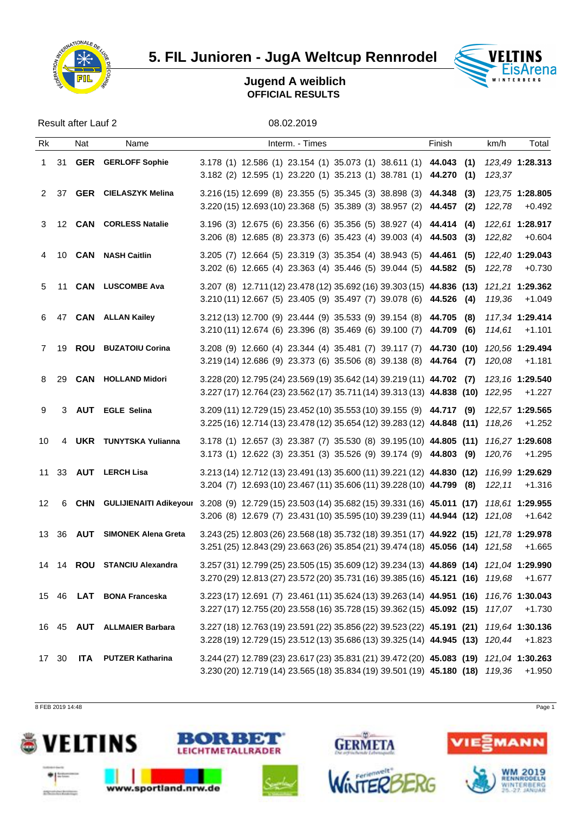

# **5. FIL Junioren - JugA Weltcup Rennrodel WELTINS**



### **Jugend A weiblich OFFICIAL RESULTS**

Result after Lauf 2 08.02.2019

| Rk |       | Nat | Name                          | Interm. - Times                                                                                                                                                                                          | Finish | km/h   | Total                            |
|----|-------|-----|-------------------------------|----------------------------------------------------------------------------------------------------------------------------------------------------------------------------------------------------------|--------|--------|----------------------------------|
|    |       |     | 1 31 GER GERLOFF Sophie       | 3.178 (1) 12.586 (1) 23.154 (1) 35.073 (1) 38.611 (1) 44.043 (1)<br>3.182 (2) 12.595 (1) 23.220 (1) 35.213 (1) 38.781 (1) 44.270 (1)                                                                     |        | 123,37 | 123.49 1:28.313                  |
|    | 2 37  |     | <b>GER</b> CIELASZYK Melina   | $3.216(15)$ 12.699 (8) 23.355 (5) 35.345 (3) 38.898 (3) 44.348 (3)<br>$3.220(15)$ 12.693(10) 23.368 (5) 35.389 (3) 38.957 (2) 44.457 (2)                                                                 |        |        | 123,75 1:28.805<br>122,78 +0.492 |
|    |       |     | 3 12 CAN CORLESS Natalie      | 3.196 (3) 12.675 (6) 23.356 (6) 35.356 (5) 38.927 (4) 44.414 (4)<br>3.206 (8) 12.685 (8) 23.373 (6) 35.423 (4) 39.003 (4) 44.503 (3)                                                                     |        |        | 122,61 1:28.917<br>122,82 +0.604 |
|    |       |     | 4 10 CAN NASH Caitlin         | 3.205 (7) 12.664 (5) 23.319 (3) 35.354 (4) 38.943 (5) 44.461 (5) 122,40 1:29.043<br>3.202 (6) 12.665 (4) 23.363 (4) 35.446 (5) 39.044 (5) 44.582 (5)                                                     |        |        | 122,78 +0.730                    |
|    |       |     | 5 11 CAN LUSCOMBE Ava         | 3.207 (8) 12.711 (12) 23.478 (12) 35.692 (16) 39.303 (15) 44.836 (13) 121,21 1:29.362<br>3.210 (11) 12.667 (5) 23.405 (9) 35.497 (7) 39.078 (6) 44.526 (4) 119,36 +1.049                                 |        |        |                                  |
|    |       |     | 6 47 CAN ALLAN Kailey         | 3.212 (13) 12.700 (9) 23.444 (9) 35.533 (9) 39.154 (8) 44.705 (8) 117,34 1:29.414<br>3.210 (11) 12.674 (6) 23.396 (8) 35.469 (6) 39.100 (7) 44.709 (6) 114,61 +1.101                                     |        |        |                                  |
|    |       |     | 7 19 ROU BUZATOIU Corina      | 3.208 (9) 12.660 (4) 23.344 (4) 35.481 (7) 39.117 (7) 44.730 (10) 120,56 1:29.494<br>3.219 (14) 12.686 (9) 23.373 (6) 35.506 (8) 39.138 (8) 44.764 (7)                                                   |        |        | 120,08 +1.181                    |
|    | 8 29  |     | <b>CAN HOLLAND Midori</b>     | 3.228 (20) 12.795 (24) 23.569 (19) 35.642 (14) 39.219 (11) 44.702 (7) 123,16 1:29.540<br>3.227 (17) 12.764 (23) 23.562 (17) 35.711 (14) 39.313 (13) 44.838 (10) 122,95 +1.227                            |        |        |                                  |
| 9  |       |     | 3 AUT EGLE Selina             | 3.209 (11) 12.729 (15) 23.452 (10) 35.553 (10) 39.155 (9) 44.717 (9) 122,57 1:29.565<br>3.225 (16) 12.714 (13) 23.478 (12) 35.654 (12) 39.283 (12) 44.848 (11) 118,26 +1.252                             |        |        |                                  |
| 10 |       |     | 4 UKR TUNYTSKA Yulianna       | 3.178 (1) 12.657 (3) 23.387 (7) 35.530 (8) 39.195 (10) 44.805 (11) 116,27 1:29.608<br>3.173 (1) 12.622 (3) 23.351 (3) 35.526 (9) 39.174 (9) 44.803 (9)                                                   |        |        | 120,76 +1.295                    |
|    |       |     | 11 33 AUT LERCH Lisa          | 3.213 (14) 12.712 (13) 23.491 (13) 35.600 (11) 39.221 (12) 44.830 (12) 116,99 1:29.629<br>3.204 (7) 12.693 (10) 23.467 (11) 35.606 (11) 39.228 (10) 44.799 (8) 122,11                                    |        |        | +1.316                           |
| 12 |       |     |                               | 6 CHN GULIJIENAITI Adikeyour 3.208 (9) 12.729 (15) 23.503 (14) 35.682 (15) 39.331 (16) 45.011 (17) 118,61 1:29.955<br>3.206 (8) 12.679 (7) 23.431 (10) 35.595 (10) 39.239 (11) 44.944 (12) 121,08 +1.642 |        |        |                                  |
|    |       |     | 13 36 AUT SIMONEK Alena Greta | 3.243 (25) 12.803 (26) 23.568 (18) 35.732 (18) 39.351 (17) 44.922 (15) 121,78 1:29.978<br>3.251 (25) 12.843 (29) 23.663 (26) 35.854 (21) 39.474 (18) 45.056 (14) 121,58 +1.665                           |        |        |                                  |
|    |       |     | 14 14 ROU STANCIU Alexandra   | 3.257 (31) 12.799 (25) 23.505 (15) 35.609 (12) 39.234 (13) 44.869 (14) 121,04 1:29.990<br>3.270 (29) 12.813 (27) 23.572 (20) 35.731 (16) 39.385 (16) 45.121 (16) 119,68 +1.677                           |        |        |                                  |
|    |       |     | 15 46 LAT BONA Franceska      | 3.223 (17) 12.691 (7) 23.461 (11) 35.624 (13) 39.263 (14) 44.951 (16) 116,76 1:30.043<br>3.227 (17) 12.755 (20) 23.558 (16) 35.728 (15) 39.362 (15) 45.092 (15) 117,07 +1.730                            |        |        |                                  |
|    |       |     | 16 45 AUT ALLMAIER Barbara    | 3.227 (18) 12.763 (19) 23.591 (22) 35.856 (22) 39.523 (22) 45.191 (21) 119,64 1:30.136<br>3.228 (19) 12.729 (15) 23.512 (13) 35.686 (13) 39.325 (14) 44.945 (13) 120,44 +1.823                           |        |        |                                  |
|    | 17 30 |     | <b>ITA</b> PUTZER Katharina   | 3.244 (27) 12.789 (23) 23.617 (23) 35.831 (21) 39.472 (20) 45.083 (19) 121,04 1:30.263<br>3.230 (20) 12.719 (14) 23.565 (18) 35.834 (19) 39.501 (19) 45.180 (18) 119,36 +1.950                           |        |        |                                  |

8 FEB 2019 14:48 Page 1

delignation of products





www.sportland.nrw.de





**GERMETA** 

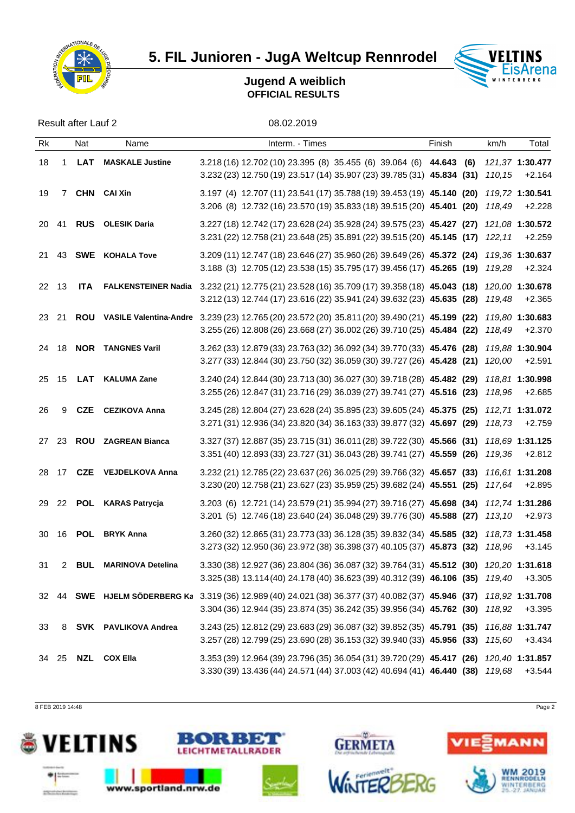

**5. FIL Junioren - JugA Weltcup Rennrodel WELTINS** 



### **Jugend A weiblich OFFICIAL RESULTS**

Result after Lauf 2 08.02.2019

| Rk |                | Nat | Name                       | Interm. - Times                                                                                                                                                                                              | Finish | km/h | Total  |
|----|----------------|-----|----------------------------|--------------------------------------------------------------------------------------------------------------------------------------------------------------------------------------------------------------|--------|------|--------|
| 18 | $\mathbf{1}$   |     | <b>LAT</b> MASKALE Justine | 3.218 (16) 12.702 (10) 23.395 (8) 35.455 (6) 39.064 (6) 44.643 (6) 121,37 1:30.477<br>3.232 (23) 12.750 (19) 23.517 (14) 35.907 (23) 39.785 (31) 45.834 (31) 110,15 +2.164                                   |        |      |        |
| 19 | $\overline{7}$ |     | <b>CHN</b> CAI Xin         | 3.197 (4) 12.707 (11) 23.541 (17) 35.788 (19) 39.453 (19) 45.140 (20) 119,72 1:30.541<br>3.206 (8) 12.732 (16) 23.570 (19) 35.833 (18) 39.515 (20) 45.401 (20) 118,49 +2.228                                 |        |      |        |
|    |                |     | 20 41 RUS OLESIK Daria     | 3.227 (18) 12.742 (17) 23.628 (24) 35.928 (24) 39.575 (23) 45.427 (27) 121,08 1:30.572<br>3.231 (22) 12.758 (21) 23.648 (25) 35.891 (22) 39.515 (20) 45.145 (17) 122,11                                      |        |      | +2.259 |
|    |                |     | 21 43 SWE KOHALA Tove      | 3.209 (11) 12.747 (18) 23.646 (27) 35.960 (26) 39.649 (26) 45.372 (24) 119,36 1:30.637<br>3.188 (3) 12.705 (12) 23.538 (15) 35.795 (17) 39.456 (17) 45.265 (19) 119,28 +2.324                                |        |      |        |
|    |                |     |                            | 22 13 ITA FALKENSTEINER Nadia 3.232 (21) 12.775 (21) 23.528 (16) 35.709 (17) 39.358 (18) 45.043 (18) 120,00 1:30.678<br>3.212 (13) 12.744 (17) 23.616 (22) 35.941 (24) 39.632 (23) 45.635 (28) 119,48 +2.365 |        |      |        |
|    | 23 21          |     |                            | ROU VASILE Valentina-Andre 3.239 (23) 12.765 (20) 23.572 (20) 35.811 (20) 39.490 (21) 45.199 (22) 119,80 1:30.683<br>3.255 (26) 12.808 (26) 23.668 (27) 36.002 (26) 39.710 (25) 45.484 (22) 118,49           |        |      | +2.370 |
|    |                |     | 24 18 NOR TANGNES Varil    | 3.262 (33) 12.879 (33) 23.763 (32) 36.092 (34) 39.770 (33) 45.476 (28) 119,88 1:30.904<br>3.277 (33) 12.844 (30) 23.750 (32) 36.059 (30) 39.727 (26) 45.428 (21) 120,00                                      |        |      | +2.591 |
|    |                |     | 25 15 LAT KALUMA Zane      | 3.240 (24) 12.844 (30) 23.713 (30) 36.027 (30) 39.718 (28) 45.482 (29) 118,81 1:30.998<br>3.255 (26) 12.847 (31) 23.716 (29) 36.039 (27) 39.741 (27) 45.516 (23) 118,96 +2.685                               |        |      |        |
| 26 | 9              |     | <b>CZE</b> CEZIKOVA Anna   | 3.245 (28) 12.804 (27) 23.628 (24) 35.895 (23) 39.605 (24) 45.375 (25) 112,71 1:31.072<br>3.271 (31) 12.936 (34) 23.820 (34) 36.163 (33) 39.877 (32) 45.697 (29) 118,73                                      |        |      | +2.759 |
|    |                |     | 27 23 ROU ZAGREAN Bianca   | 3.327 (37) 12.887 (35) 23.715 (31) 36.011 (28) 39.722 (30) 45.566 (31) 118,69 1:31.125<br>3.351 (40) 12.893 (33) 23.727 (31) 36.043 (28) 39.741 (27) 45.559 (26) 119,36 +2.812                               |        |      |        |
|    |                |     | 28 17 CZE VEJDELKOVA Anna  | 3.232 (21) 12.785 (22) 23.637 (26) 36.025 (29) 39.766 (32) 45.657 (33) 116,61 1:31.208<br>3.230 (20) 12.758 (21) 23.627 (23) 35.959 (25) 39.682 (24) 45.551 (25) 117,64 +2.895                               |        |      |        |
|    |                |     | 29 22 POL KARAS Patrycja   | 3.203 (6) 12.721 (14) 23.579 (21) 35.994 (27) 39.716 (27) 45.698 (34) 112,74 1:31.286<br>3.201 (5) 12.746 (18) 23.640 (24) 36.048 (29) 39.776 (30) 45.588 (27) 113,10 +2.973                                 |        |      |        |
|    |                |     | 30 16 POL BRYK Anna        | 3.260 (32) 12.865 (31) 23.773 (33) 36.128 (35) 39.832 (34) 45.585 (32) 118,73 1:31.458<br>3.273 (32) 12.950 (36) 23.972 (38) 36.398 (37) 40.105 (37) 45.873 (32) 118,96 +3.145                               |        |      |        |
|    |                |     | 31 2 BUL MARINOVA Detelina | 3.330 (38) 12.927 (36) 23.804 (36) 36.087 (32) 39.764 (31) 45.512 (30) 120,20 1:31.618<br>3.325 (38) 13.114 (40) 24.178 (40) 36.623 (39) 40.312 (39) 46.106 (35) 119,40 +3.305                               |        |      |        |
|    |                |     |                            | 32 44 SWE HJELM SÖDERBERG Ka 3.319 (36) 12.989 (40) 24.021 (38) 36.377 (37) 40.082 (37) 45.946 (37) 118,92 1:31.708<br>3.304 (36) 12.944 (35) 23.874 (35) 36.242 (35) 39.956 (34) 45.762 (30) 118,92 +3.395  |        |      |        |
| 33 |                |     | 8 SVK PAVLIKOVA Andrea     | 3.243 (25) 12.812 (29) 23.683 (29) 36.087 (32) 39.852 (35) 45.791 (35) 116,88 1:31.747<br>3.257 (28) 12.799 (25) 23.690 (28) 36.153 (32) 39.940 (33) 45.956 (33) 115,60 +3.434                               |        |      |        |
|    |                |     | 34 25 NZL COX Ella         | 3.353 (39) 12.964 (39) 23.796 (35) 36.054 (31) 39.720 (29) 45.417 (26) 120,40 1:31.857<br>3.330 (39) 13.436 (44) 24.571 (44) 37.003 (42) 40.694 (41) 46.440 (38) 119,68 +3.544                               |        |      |        |

8 FEB 2019 14:48 Page 2

delignation of products





www.sportland.nrw.de